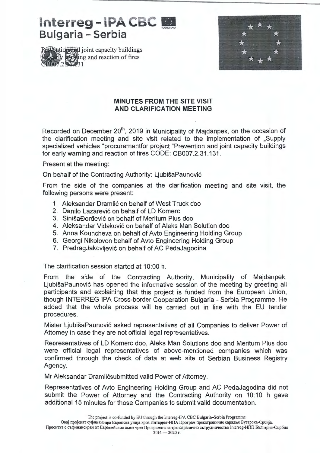## **Interreg-IPA CBC** Bulgaria - Serbia





## **MINUTES FROM THE SITE VISIT AND CLARIFICATION MEETING**

Recorded on December 20<sup>th</sup>, 2019 in Municipality of Majdanpek, on the occasion of the clarification meeting and site visit related to the implementation of ,,Supply specialized vehicles "procurementfor project "Prevention and joint capacity buildings for early warning and reaction of fires CODE: CB007 .2.31.131.

Present at the meeting:

On behalf of the Contracting Authority: LjubisaPaunovic

From the side of the companies at the clarification meeting and site visit, the following persons were present:

- 1. Aleksandar Dramlic on behalf of West Truck doo
- 2. Danilo Lazarević on behalf of LD Komerc
- 3. SinišaĐorđević on behalf of Meritum Plus doo
- 4. Aleksandar Vidakovic on behalf of Aleks Man Solution doo
- 5. Anna Kouncheva on behalf of Avto Engineering Holding Group
- 6. Georgi Nikolovon behalf of Avto Engineering Holding Group
- 7. PredragJakovljevic on behalf of AC PedaJagodina

The clarification session started at 10:00 h.

From the side of the Contracting Authority, Municipality of Majdanpek, LjubisaPaunovic has opened the informative session of the meeting by greeting all participants and explaining that this project is funded from the European Union, though INTERREG IPA Cross-border Cooperation Bulgaria - Serbia Programme. He added that the whole process will be carried out in line with the EU tender procedures.

Mister LjubisaPaunovic asked representatives of all Companies to deliver Power of Attorney in case they are not official legal representatives.

Representatives of LO Komerc doo, Aleks Man Solutions doo and Meritum Plus doo were official legal representatives of above-mentioned companies which was confirmed through the check of data at web site of Serbian Business Registry . Agency.

Mr Aleksandar Dramlićsubmitted valid Power of Attorney.

Representatives of Avto Engineering Holding Group and AC PedaJagodina did not submit the Power of Attorney and the Contracting Authority on 10:10 h gave additional 15 minutes for those Companies to submit valid documentation.